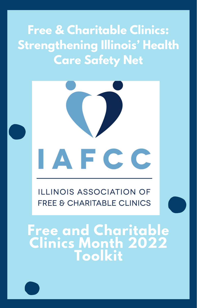**Free & Charitable Clinics: Strengthening Illinois' Health Care Safety Net**



**ILLINOIS ASSOCIATION OF FREE & CHARITABLE CLINICS** 

**Free and Charitable Clinics Month 2022 Toolkit**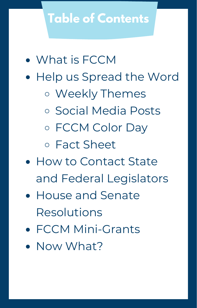# **Table of Contents**

- What is FCCM
- Help us Spread the Word
	- Weekly Themes
	- o Social Media Posts
	- o FCCM Color Day

Fact Sheet

- How to Contact State and Federal Legislators
- House and Senate Resolutions
- FCCM Mini-Grants
- Now What?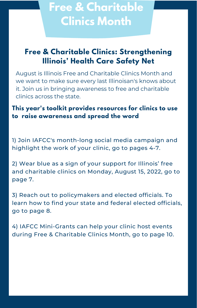# **Free & Charitable Clinics Month**

## **Free & Charitable Clinics: Strengthening Illinois' Health Care Safety Net**

August is Illinois Free and Charitable Clinics Month and we want to make sure every last Illinoisan's knows about it. Join us in bringing awareness to free and charitable clinics across the state.

## **This year's toolkit provides resources for clinics to use to raise awareness and spread the word**

1) Join IAFCC's month-long social media campaign and highlight the work of your clinic, go to pages 4-7.

2) Wear blue as a sign of your support for Illinois' free and charitable clinics on Monday, August 15, 2022, go to page 7.

3) Reach out to policymakers and elected officials. To learn how to find your state and federal elected officials, go to page 8.

4) IAFCC Mini-Grants can help your clinic host events during Free & Charitable Clinics Month, go to page 10.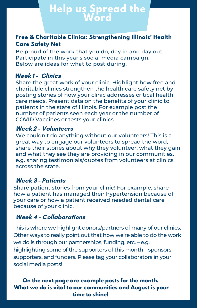# **Help us Spread the Word**

### **Free & Charitable Clinics: Strengthening Illinois' Health Care Safety Net**

Be proud of the work that you do, day in and day out. Participate in this year's social media campaign. Below are ideas for what to post during.

### **Week 1 - Clinics**

Share the great work of your clinic. Highlight how free and charitable clinics strengthen the health care safety net by posting stories of how your clinic addresses critical health care needs. Present data on the benefits of your clinic to patients in the state of Illinois. For example post the number of patients seen each year or the number of COVID Vaccines or tests your clinics

#### **Week 2 - Volunteers**

We couldn't do anything without our volunteers! This is a great way to engage our volunteers to spread the word, share their stories about why they volunteer, what they gain and what they see they are providing in our communities. e.g. sharing testimonials/quotes from volunteers at clinics across the state.

#### **Week 3 - Patients**

Share patient stories from your clinic! For example, share how a patient has managed their hypertension because of your care or how a patient received needed dental care because of your clinic.

## **Week 4 - Collaborations**

This is where we highlight donors/partners of many of our clinics. Other ways to really point out that how we're able to do the work we do is through our partnerships, funding, etc. – e.g. highlighting some of the supporters of this month – sponsors, supporters, and funders. Please tag your collaborators in your social media posts!

### **On the next page are example posts for the month. What we do is vital to our communities and August is your time to shine!**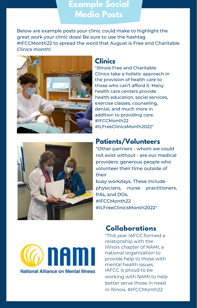## **Example Social Media Posts**

Below are example posts your clinic could make to highlight the great work your clinic does! Be sure to use the hashtag #IFCCMonth22 to spread the word that August is Free and Charitable Clinics month!





"Illinois Free and Charitable Clinics take a holistic approach in the provision of health care to those who can't afford it. Many health care centers provide health education, social services, exercise classes, counseling, dental, and much [more](https://www.facebook.com/hashtag/ilfreeclinicsmonth?__eep__=6&__cft__[0]=AZWVYrh7ZQf3iBaiDk4agggNU33iU6wlzg8JfrLpDnhUlSV0qEV-uhJ-hxN3W6KE8j5MarEWiECAEyop3fanoq0TrVu82lL1Vd-MkymZDKmf3HE_BIqO1zmg0fTmdP6Nrl3_4VmPQvNbeaDy6EKX2eI88MqjX6Ok_DpGg-uJik6dirx842yXuJV-qvIHABiDIuc&__tn__=*NK-R) in [addition](https://www.facebook.com/hashtag/ilfreeclinicsmonth?__eep__=6&__cft__[0]=AZWVYrh7ZQf3iBaiDk4agggNU33iU6wlzg8JfrLpDnhUlSV0qEV-uhJ-hxN3W6KE8j5MarEWiECAEyop3fanoq0TrVu82lL1Vd-MkymZDKmf3HE_BIqO1zmg0fTmdP6Nrl3_4VmPQvNbeaDy6EKX2eI88MqjX6Ok_DpGg-uJik6dirx842yXuJV-qvIHABiDIuc&__tn__=*NK-R) to providing care. #IFCCMonth22 [#I](https://www.facebook.com/hashtag/ilfreeclinicsawareness?__eep__=6&__cft__[0]=AZWVYrh7ZQf3iBaiDk4agggNU33iU6wlzg8JfrLpDnhUlSV0qEV-uhJ-hxN3W6KE8j5MarEWiECAEyop3fanoq0TrVu82lL1Vd-MkymZDKmf3HE_BIqO1zmg0fTmdP6Nrl3_4VmPQvNbeaDy6EKX2eI88MqjX6Ok_DpGg-uJik6dirx842yXuJV-qvIHABiDIuc&__tn__=*NK-R)LFreeClinicsMonth2022"



## **Patients/Volunteers**

"Other partners - whom we could not exist without - are our medical providers: generous people who volunteer their time outside of their

busy workdays. These include physicians, nurse practitioners, PAs, and [DOs.](https://www.facebook.com/hashtag/ilfreeclinicsmonth?__eep__=6&__cft__[0]=AZXsxbEMTuyXA5wydp-an3iArKDMPxFtsMX0UyG7Y5GTA494b2xCV29CUH7RNRYsHZGTrfjgOzRAxKJwZFrK0wK34fVNsr_mr6oDzBZzk4DTDhUwAXr21-_ZhVYZ5Oji9AxOrgaNcLAQ0eyV6TYI4OHrpTyiSb9aobhmdr9qjIUhq-mEvZy9BuiCq6_Sq9Ca3zRlF4x6VjuAgNPFqhK_xsNi3w7bkI3IxeUzRUCppB8OPA&__tn__=*NK-y-R) [#IFCCMonth22](https://www.facebook.com/hashtag/ilfreeclinicsmonth?__eep__=6&__cft__[0]=AZXsxbEMTuyXA5wydp-an3iArKDMPxFtsMX0UyG7Y5GTA494b2xCV29CUH7RNRYsHZGTrfjgOzRAxKJwZFrK0wK34fVNsr_mr6oDzBZzk4DTDhUwAXr21-_ZhVYZ5Oji9AxOrgaNcLAQ0eyV6TYI4OHrpTyiSb9aobhmdr9qjIUhq-mEvZy9BuiCq6_Sq9Ca3zRlF4x6VjuAgNPFqhK_xsNi3w7bkI3IxeUzRUCppB8OPA&__tn__=*NK-y-R) #ILFreeClinicsMonth2022"



## **Collaborations**

"This year IAFCC formed a relationship with the Illinois chapter of NAMI, a national organization to provide help to those with mental health issues. IAFCC is proud to be working with NAMI to help better serve those in need in Illinois. [#IFCCMonth22](https://www.facebook.com/CovidFinishLine/?__cft__[0]=AZUiWnuZY5Lbz41EGtBQ8acRe7ySPx2szeGAf0uvaPR-5bg-nqTvhBHbJpbPbTmNmCD3ZyVfmE1I5UqZx83q-hcpRRHFLZAJ09GPEDmqQLSEcIKwmRibQW3F19gQS2nWlWGQDJa06EdyxI6oxVug6a-mGNafxTpnAXg6GqYAGvLk8XgZ8tekpMav6HmNMaZLyu7Rwikw1Yvg6UIjfjbwxlix7FCyL-GwJMo9i5sNyE7TSA&__tn__=kK-R)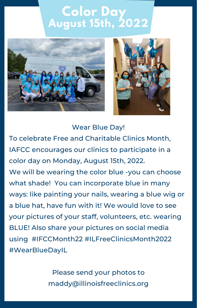# **Color Day August 15th, 2022**





Wear Blue Day!

To celebrate Free and Charitable Clinics Month, IAFCC encourages our clinics to participate in a color day on Monday, August 15th, 2022.

We will be wearing the color blue -you can choose what shade! You can incorporate blue in many ways: like painting your nails, wearing a blue wig or a blue hat, have fun with it! We would love to see your pictures of your staff, volunteers, etc. wearing BLUE! Also share your pictures on social media using #IFCCMonth22 #ILFreeClinicsMonth2022 #WearBlueDayIL

> Please send your photos to maddy@illinoisfreeclinics.org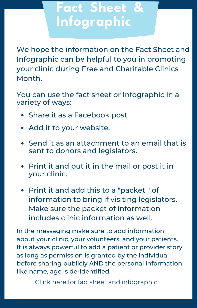# **Fact Sheet & Infographic**

We hope the information on the Fact Sheet and Infographic can be helpful to you in promoting your clinic during Free and Charitable Clinics Month.

You can use the fact sheet or Infographic in a variety of ways:

- Share it as a Facebook post.
- Add it to your website.
- Send it as an attachment to an email that is sent to donors and legislators.
- Print it and put it in the mail or post it in your clinic.
- Print it and add this to a "packet" of information to bring if visiting legislators. Make sure the packet of information includes clinic information as well.

In the messaging make sure to add information about your clinic, your volunteers, and your patients. It is always powerful to add a patient or provider story as long as permission is granted by the individual before sharing publicly AND the personal information like name, age is de-identified.

Clink here for factsheet and [infographic](https://drive.google.com/drive/folders/1ie0aEBXd4Qy3fmXUpyWivQMlgzrUiDla?usp=sharing)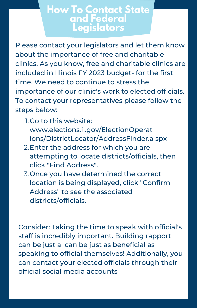## **How To Contact State and Federal Legislators**

Please contact your legislators and let them know about the importance of free and charitable clinics. As you know, free and charitable clinics are included in Illinois FY 2023 budget- for the first time. We need to continue to stress the importance of our clinic's work to elected officials. To contact your representatives please follow the steps below:

- 1. Go to this website: www.elections.il.gov/ElectionOperat [ions/DistrictLocator/AddressFinder.a](https://www.elections.il.gov/ElectionOperations/DistrictLocator/AddressFinder.aspx) spx
- 2. Enter the [address](https://www.elections.il.gov/ElectionOperations/DistrictLocator/AddressFinder.aspx) for which you are [attempting](https://www.elections.il.gov/ElectionOperations/DistrictLocator/AddressFinder.aspx) to locate districts/officials, then click "Find Address".
- 3. Once you have determined the correct location is being displayed, click "Confirm Address" to see the associated districts/officials.

Consider: Taking the time to speak with official's staff is incredibly important. Building rapport can be just a can be just as beneficial as speaking to official themselves! Additionally, you can contact your elected officials through their official social media accounts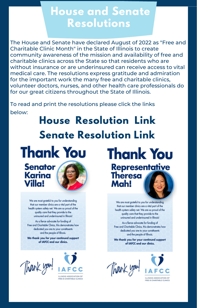# **House and Senate Resolutions**

The House and Senate have declared August of 2022 as "Free and Charitable Clinic Month" in the State of Illinois to create community awareness of the mission and availability of free and charitable clinics across the State so that residents who are without insurance or are underinsured can receive access to vital medical care. The resolutions express gratitude and admiration for the important work the many free and charitable clinics, volunteer doctors, nurses, and other health care professionals do for our great citizens throughout the State of Illinois.

To read and print the resolutions please click the links below:

# **House [Resolution](https://www.ilga.gov/legislation/fulltext.asp?DocName=&SessionId=110&GA=102&DocTypeId=HR&DocNum=792&GAID=16&LegID=140819&SpecSess=&Session=) Link Senate [Resolution](https://www.ilga.gov/legislation/billstatus.asp?DocNum=960&GAID=16&GA=102&DocTypeID=SR&LegID=140884&SessionID=110) Link**



**Senator** Karina **Villa!** 



We are most grateful to you for understanding that our member clinics are a vital part of the health system safety net. We are so proud of the quality care that they provide to the uninsured and underinsured in Illinois!

As a fierce advocate for funding of Free and Charitable Clinics, this demonstrates how dedicated you are to your constituents and the people of Illinois.

We thank you for your continued support of IAFCC and our dinics.

Thank you!



**Thank You Representative Theresa** Mah!

> We are most arateful to you for understanding that our member clinics are a vital part of the health system safety net. We are so proud of the quality care that they provide to the uninsured and underinsured in Illinois!

As a fierce advocate for funding of Free and Charitable Clinics, this demonstrates how dedicated you are to your constituents and the people of Illinois.

We thank you for your continued support of IAFCC and our dinics.

Thank you!

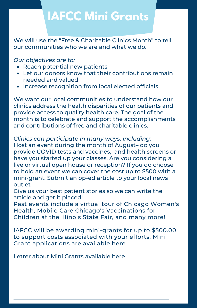# **IAFCC Mini Grants**

We will use the "Free & Charitable Clinics Month" to tell our communities who we are and what we do.

#### *Our objectives are to:*

- Reach potential new patients
- Let our donors know that their contributions remain needed and valued
- Increase recognition from local elected officials

We want our local communities to understand how our clinics address the health disparities of our patients and provide access to quality health care. The goal of the month is to celebrate and support the accomplishments and contributions of free and charitable clinics.

*Clinics can participate in many ways, including:* Host an event during the month of August– do you provide COVID tests and vaccines, and health screens or have you started up your classes. Are you considering a live or virtual open house or reception? If you do choose to hold an event we can cover the cost up to \$500 with a mini-grant. Submit an op-ed article to your local news outlet

Give us your best patient stories so we can write the article and get it placed!

Past events include a virtual tour of Chicago Women's Health, Mobile Care Chicago's Vaccinations for Children at the Illinois State Fair, and many more!

IAFCC will be awarding mini-grants for up to \$500.00 to support costs associated with your efforts. Mini Grant applications are available [here](https://www.emailmeform.com/builder/form/e609IQ2rW6ViL9a)

Letter about Mini Grants available [here](https://docs.google.com/document/d/1KRZeT0k4_h5nWQ4jLcDqa0YmlHNn1zyB/edit?usp=sharing&ouid=106241231277600607407&rtpof=true&sd=true)